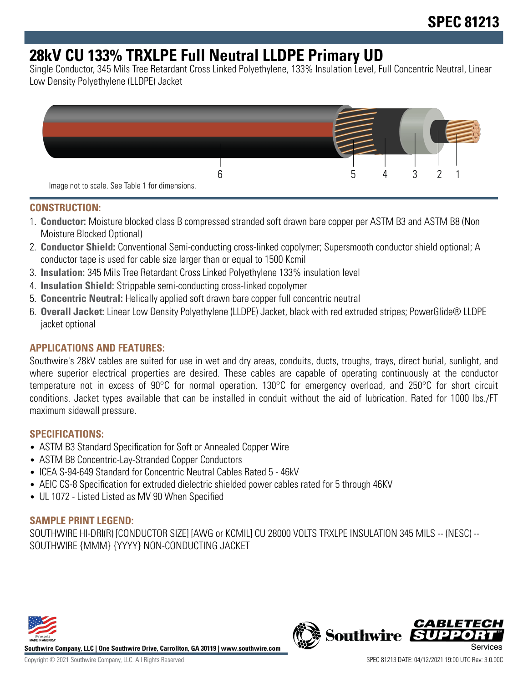## **28kV CU 133% TRXLPE Full Neutral LLDPE Primary UD**

Single Conductor, 345 Mils Tree Retardant Cross Linked Polyethylene, 133% Insulation Level, Full Concentric Neutral, Linear Low Density Polyethylene (LLDPE) Jacket



#### **CONSTRUCTION:**

- 1. **Conductor:** Moisture blocked class B compressed stranded soft drawn bare copper per ASTM B3 and ASTM B8 (Non Moisture Blocked Optional)
- 2. **Conductor Shield:** Conventional Semi-conducting cross-linked copolymer; Supersmooth conductor shield optional; A conductor tape is used for cable size larger than or equal to 1500 Kcmil
- 3. **Insulation:** 345 Mils Tree Retardant Cross Linked Polyethylene 133% insulation level
- 4. **Insulation Shield:** Strippable semi-conducting cross-linked copolymer
- 5. **Concentric Neutral:** Helically applied soft drawn bare copper full concentric neutral
- 6. **Overall Jacket:** Linear Low Density Polyethylene (LLDPE) Jacket, black with red extruded stripes; PowerGlide® LLDPE jacket optional

#### **APPLICATIONS AND FEATURES:**

Southwire's 28kV cables are suited for use in wet and dry areas, conduits, ducts, troughs, trays, direct burial, sunlight, and where superior electrical properties are desired. These cables are capable of operating continuously at the conductor temperature not in excess of 90°C for normal operation. 130°C for emergency overload, and 250°C for short circuit conditions. Jacket types available that can be installed in conduit without the aid of lubrication. Rated for 1000 lbs./FT maximum sidewall pressure.

#### **SPECIFICATIONS:**

- ASTM B3 Standard Specification for Soft or Annealed Copper Wire
- ASTM B8 Concentric-Lay-Stranded Copper Conductors
- ICEA S-94-649 Standard for Concentric Neutral Cables Rated 5 46kV
- AEIC CS-8 Specification for extruded dielectric shielded power cables rated for 5 through 46KV
- UL 1072 Listed Listed as MV 90 When Specified

#### **SAMPLE PRINT LEGEND:**

SOUTHWIRE HI-DRI(R) [CONDUCTOR SIZE] [AWG or KCMIL] CU 28000 VOLTS TRXLPE INSULATION 345 MILS -- (NESC) -- SOUTHWIRE {MMM} {YYYY} NON-CONDUCTING JACKET



**Southwire Company, LLC | One Southwire Drive, Carrollton, GA 30119 | www.southwire.com**

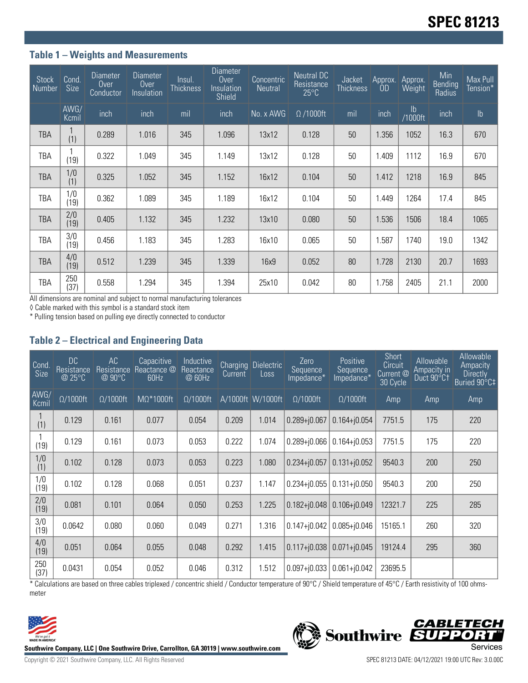#### **Table 1 – Weights and Measurements**

| <b>Stock</b><br>Number | Cond.<br><b>Size</b> | <b>Diameter</b><br>Over<br>Conductor | <b>Diameter</b><br>Over<br>Insulation | Insul.<br><b>Thickness</b> | <b>Diameter</b><br><b>Over</b><br>Insulation<br><b>Shield</b> | Concentric<br><b>Neutral</b> | Neutral DC<br>Resistance<br>$25^{\circ}$ C | Jacket<br><b>Thickness</b> | Approx.<br>0 <sub>D</sub> | Approx.<br>Weight | Min<br>Bending<br>Radius | Max Pull<br>Tension* |
|------------------------|----------------------|--------------------------------------|---------------------------------------|----------------------------|---------------------------------------------------------------|------------------------------|--------------------------------------------|----------------------------|---------------------------|-------------------|--------------------------|----------------------|
|                        | AWG/<br>Kcmil        | inch                                 | inch                                  | mil                        | inch                                                          | No. x AWG                    | $\Omega$ /1000ft                           | mil                        | inch                      | lb<br>1000ft/     | inch                     | $\mathsf{lb}$        |
| <b>TBA</b>             | (1)                  | 0.289                                | 1.016                                 | 345                        | 1.096                                                         | 13x12                        | 0.128                                      | 50                         | 1.356                     | 1052              | 16.3                     | 670                  |
| TBA                    | (19)                 | 0.322                                | 1.049                                 | 345                        | 1.149                                                         | 13x12                        | 0.128                                      | 50                         | 1.409                     | 1112              | 16.9                     | 670                  |
| <b>TBA</b>             | 1/0<br>(1)           | 0.325                                | 1.052                                 | 345                        | 1.152                                                         | 16x12                        | 0.104                                      | 50                         | 1.412                     | 1218              | 16.9                     | 845                  |
| <b>TBA</b>             | 1/0<br>(19)          | 0.362                                | 1.089                                 | 345                        | 1.189                                                         | 16x12                        | 0.104                                      | 50                         | 1.449                     | 1264              | 17.4                     | 845                  |
| <b>TBA</b>             | 2/0<br>(19)          | 0.405                                | 1.132                                 | 345                        | 1.232                                                         | 13x10                        | 0.080                                      | 50                         | 1.536                     | 1506              | 18.4                     | 1065                 |
| TBA                    | 3/0<br>(19)          | 0.456                                | 1.183                                 | 345                        | 1.283                                                         | 16x10                        | 0.065                                      | 50                         | 1.587                     | 1740              | 19.0                     | 1342                 |
| TBA                    | 4/0<br>(19)          | 0.512                                | 1.239                                 | 345                        | 1.339                                                         | 16x9                         | 0.052                                      | 80                         | 1.728                     | 2130              | 20.7                     | 1693                 |
| TBA                    | 250<br>(37)          | 0.558                                | 1.294                                 | 345                        | 1.394                                                         | 25x10                        | 0.042                                      | 80                         | 1.758                     | 2405              | 21.1                     | 2000                 |

All dimensions are nominal and subject to normal manufacturing tolerances

◊ Cable marked with this symbol is a standard stock item

\* Pulling tension based on pulling eye directly connected to conductor

#### **Table 2 – Electrical and Engineering Data**

| Cond<br><b>Size</b> | <b>DC</b><br>Resistance<br>@ 25°C | AC<br>Resistance<br>@90°C | Capacitive<br>Reactance @<br>60Hz | Inductive<br>Reactance<br>@ 60Hz | <b>Charging</b><br>Current | <b>Dielectric</b><br>Loss | Zero<br>Sequence<br>Impedance* | Positive<br>Sequence<br>Impedance* | <b>Short</b><br>Circuit<br>Current @<br>30 Cycle | Allowable<br>Ampacity in<br>Duct 90°C1 | Allowable<br>Ampacity<br><b>Directly</b><br>Buried 90°C‡ |
|---------------------|-----------------------------------|---------------------------|-----------------------------------|----------------------------------|----------------------------|---------------------------|--------------------------------|------------------------------------|--------------------------------------------------|----------------------------------------|----------------------------------------------------------|
| AWG/<br>Kcmil       | $\Omega/1000$ ft                  | $\Omega/1000$ ft          | $M\Omega^*1000$ ft                | $\Omega/1000$ ft                 |                            | A/1000ft W/1000ft         | $\Omega/1000$ ft               | $\Omega/1000$ ft                   | Amp                                              | Amp                                    | Amp                                                      |
| (1)                 | 0.129                             | 0.161                     | 0.077                             | 0.054                            | 0.209                      | 1.014                     | $0.289 + j0.067$               | $0.164 + 0.054$                    | 7751.5                                           | 175                                    | 220                                                      |
| (19)                | 0.129                             | 0.161                     | 0.073                             | 0.053                            | 0.222                      | 1.074                     | $0.289 + 0.066$                | $0.164 + j0.053$                   | 7751.5                                           | 175                                    | 220                                                      |
| 1/0<br>(1)          | 0.102                             | 0.128                     | 0.073                             | 0.053                            | 0.223                      | 1.080                     | $0.234 + j0.057$               | $0.131 + j0.052$                   | 9540.3                                           | 200                                    | 250                                                      |
| 1/0<br>(19)         | 0.102                             | 0.128                     | 0.068                             | 0.051                            | 0.237                      | 1.147                     | $0.234 + 0.055$                | $0.131 + j0.050$                   | 9540.3                                           | 200                                    | 250                                                      |
| 2/0<br>(19)         | 0.081                             | 0.101                     | 0.064                             | 0.050                            | 0.253                      | 1.225                     | $0.182 + j0.048$               | $0.106 + j0.049$                   | 12321.7                                          | 225                                    | 285                                                      |
| 3/0<br>(19)         | 0.0642                            | 0.080                     | 0.060                             | 0.049                            | 0.271                      | 1.316                     | $0.147 + 0.042$                | $0.085 + j0.046$                   | 15165.1                                          | 260                                    | 320                                                      |
| 4/0<br>(19)         | 0.051                             | 0.064                     | 0.055                             | 0.048                            | 0.292                      | 1.415                     | $0.117 + 0.038$                | $0.071 + j0.045$                   | 19124.4                                          | 295                                    | 360                                                      |
| 250<br>(37)         | 0.0431                            | 0.054                     | 0.052                             | 0.046                            | 0.312                      | 1.512                     | $0.097 + 0.033$                | $0.061 + j0.042$                   | 23695.5                                          |                                        |                                                          |

\* Calculations are based on three cables triplexed / concentric shield / Conductor temperature of 90°C / Shield temperature of 45°C / Earth resistivity of 100 ohmsmeter



Southwire Company, LLC | One Southwire Drive, Carrollton, GA 30119 | www.southwire.com<br>Services

**CABLETECH**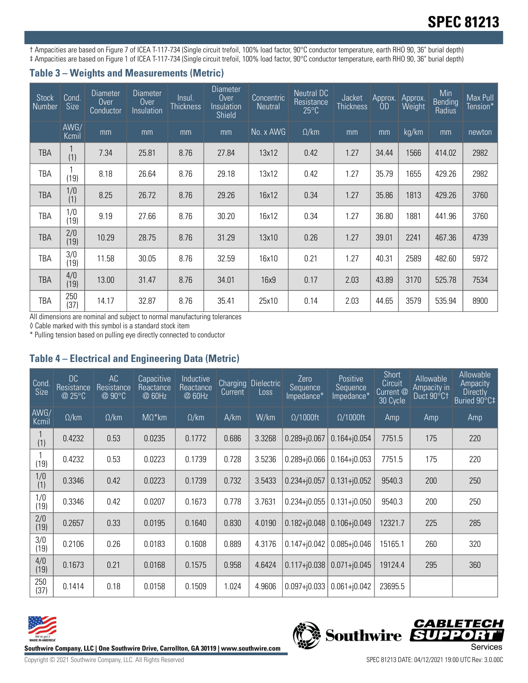# **SPEC 81213**

† Ampacities are based on Figure 7 of ICEA T-117-734 (Single circuit trefoil, 100% load factor, 90°C conductor temperature, earth RHO 90, 36" burial depth) ‡ Ampacities are based on Figure 1 of ICEA T-117-734 (Single circuit trefoil, 100% load factor, 90°C conductor temperature, earth RHO 90, 36" burial depth)

#### **Table 3 – Weights and Measurements (Metric)**

| <b>Stock</b><br>Number | Cond.<br><b>Size</b> | <b>Diameter</b><br>Over<br>Conductor | <b>Diameter</b><br>Over<br>Insulation | Insul.<br>Thickness | <b>Diameter</b><br>$0$ ver<br>Insulation<br>Shield | Concentric<br><b>Neutral</b> | Neutral DC<br>Resistance<br>$25^{\circ}$ C | Jacket<br><b>Thickness</b> | Approx.<br><b>OD</b> | Approx.<br>Weight | Min<br><b>Bending</b><br>Radius | Max Pull<br>Tension* |
|------------------------|----------------------|--------------------------------------|---------------------------------------|---------------------|----------------------------------------------------|------------------------------|--------------------------------------------|----------------------------|----------------------|-------------------|---------------------------------|----------------------|
|                        | AWG/<br>Kcmil        | mm                                   | mm                                    | mm                  | mm                                                 | No. x AWG                    | $\Omega$ /km                               | mm                         | mm                   | kg/km             | mm                              | newton               |
| <b>TBA</b>             | (1)                  | 7.34                                 | 25.81                                 | 8.76                | 27.84                                              | 13x12                        | 0.42                                       | 1.27                       | 34.44                | 1566              | 414.02                          | 2982                 |
| TBA                    | (19)                 | 8.18                                 | 26.64                                 | 8.76                | 29.18                                              | 13x12                        | 0.42                                       | 1.27                       | 35.79                | 1655              | 429.26                          | 2982                 |
| <b>TBA</b>             | 1/0<br>(1)           | 8.25                                 | 26.72                                 | 8.76                | 29.26                                              | 16x12                        | 0.34                                       | 1.27                       | 35.86                | 1813              | 429.26                          | 3760                 |
| TBA                    | 1/0<br>(19)          | 9.19                                 | 27.66                                 | 8.76                | 30.20                                              | 16x12                        | 0.34                                       | 1.27                       | 36.80                | 1881              | 441.96                          | 3760                 |
| <b>TBA</b>             | 2/0<br>(19)          | 10.29                                | 28.75                                 | 8.76                | 31.29                                              | 13x10                        | 0.26                                       | 1.27                       | 39.01                | 2241              | 467.36                          | 4739                 |
| TBA                    | 3/0<br>(19)          | 11.58                                | 30.05                                 | 8.76                | 32.59                                              | 16x10                        | 0.21                                       | 1.27                       | 40.31                | 2589              | 482.60                          | 5972                 |
| <b>TBA</b>             | 4/0<br>(19)          | 13.00                                | 31.47                                 | 8.76                | 34.01                                              | 16x9                         | 0.17                                       | 2.03                       | 43.89                | 3170              | 525.78                          | 7534                 |
| TBA                    | 250<br>(37)          | 14.17                                | 32.87                                 | 8.76                | 35.41                                              | 25x10                        | 0.14                                       | 2.03                       | 44.65                | 3579              | 535.94                          | 8900                 |

All dimensions are nominal and subject to normal manufacturing tolerances

◊ Cable marked with this symbol is a standard stock item

\* Pulling tension based on pulling eye directly connected to conductor

### **Table 4 – Electrical and Engineering Data (Metric)**

| Cond<br><b>Size</b> | DC.<br>Resistance<br>@ 25°C | AC<br>Resistance<br>@ 90°C | Capacitive<br>Reactance<br>@ 60Hz | Inductive<br>Reactance<br>@ 60Hz | <b>Charging</b><br>Current | Dielectric<br>Loss | Zero<br>Sequence<br>Impedance* | Positive<br>Sequence<br>Impedance* | <b>Short</b><br>Circuit<br>Current <sup><sup>®</sup></sup><br>30 Cycle | Allowable<br>Ampacity in<br>Duct 90°C1 | Allowable<br>Ampacity<br><b>Directly</b><br>Buried 90°C‡ |
|---------------------|-----------------------------|----------------------------|-----------------------------------|----------------------------------|----------------------------|--------------------|--------------------------------|------------------------------------|------------------------------------------------------------------------|----------------------------------------|----------------------------------------------------------|
| AWG/<br>Kcmil       | $\Omega$ /km                | $\Omega$ /km               | $M\Omega^*$ km                    | $\Omega$ /km                     | A/km                       | W/km               | $\Omega/1000$ ft               | $\Omega/1000$ ft                   | Amp                                                                    | Amp                                    | Amp                                                      |
| (1)                 | 0.4232                      | 0.53                       | 0.0235                            | 0.1772                           | 0.686                      | 3.3268             | $0.289 + j0.067$               | $0.164 + j0.054$                   | 7751.5                                                                 | 175                                    | 220                                                      |
| (19)                | 0.4232                      | 0.53                       | 0.0223                            | 0.1739                           | 0.728                      | 3.5236             | $0.289 + 0.066$                | $0.164 + j0.053$                   | 7751.5                                                                 | 175                                    | 220                                                      |
| 1/0<br>(1)          | 0.3346                      | 0.42                       | 0.0223                            | 0.1739                           | 0.732                      | 3.5433             | $0.234 + 0.057$                | $0.131 + j0.052$                   | 9540.3                                                                 | 200                                    | 250                                                      |
| 1/0<br>(19)         | 0.3346                      | 0.42                       | 0.0207                            | 0.1673                           | 0.778                      | 3.7631             | $0.234 + j0.055$               | $0.131 + j0.050$                   | 9540.3                                                                 | 200                                    | 250                                                      |
| 2/0<br>(19)         | 0.2657                      | 0.33                       | 0.0195                            | 0.1640                           | 0.830                      | 4.0190             | $0.182 + j0.048$               | $0.106 + i0.049$                   | 12321.7                                                                | 225                                    | 285                                                      |
| 3/0<br>(19)         | 0.2106                      | 0.26                       | 0.0183                            | 0.1608                           | 0.889                      | 4.3176             | $0.147 + j0.042$               | $0.085 + j0.046$                   | 15165.1                                                                | 260                                    | 320                                                      |
| 4/0<br>(19)         | 0.1673                      | 0.21                       | 0.0168                            | 0.1575                           | 0.958                      | 4.6424             | $0.117 + 0.038$                | $0.071 + j0.045$                   | 19124.4                                                                | 295                                    | 360                                                      |
| 250<br>(37)         | 0.1414                      | 0.18                       | 0.0158                            | 0.1509                           | 1.024                      | 4.9606             | $0.097 + j0.033$               | $0.061 + j0.042$                   | 23695.5                                                                |                                        |                                                          |



Southwire Company, LLC | One Southwire Drive, Carrollton, GA 30119 | www.southwire.com<br>Services

**CABLETECH**